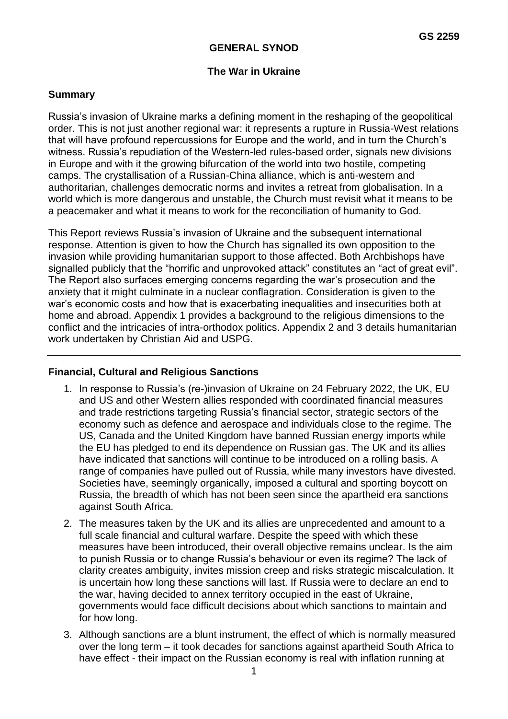### **GENERAL SYNOD**

### **The War in Ukraine**

#### **Summary**

Russia's invasion of Ukraine marks a defining moment in the reshaping of the geopolitical order. This is not just another regional war: it represents a rupture in Russia-West relations that will have profound repercussions for Europe and the world, and in turn the Church's witness. Russia's repudiation of the Western-led rules-based order, signals new divisions in Europe and with it the growing bifurcation of the world into two hostile, competing camps. The crystallisation of a Russian-China alliance, which is anti-western and authoritarian, challenges democratic norms and invites a retreat from globalisation. In a world which is more dangerous and unstable, the Church must revisit what it means to be a peacemaker and what it means to work for the reconciliation of humanity to God.

This Report reviews Russia's invasion of Ukraine and the subsequent international response. Attention is given to how the Church has signalled its own opposition to the invasion while providing humanitarian support to those affected. Both Archbishops have signalled publicly that the "horrific and unprovoked attack" constitutes an "act of great evil". The Report also surfaces emerging concerns regarding the war's prosecution and the anxiety that it might culminate in a nuclear conflagration. Consideration is given to the war's economic costs and how that is exacerbating inequalities and insecurities both at home and abroad. Appendix 1 provides a background to the religious dimensions to the conflict and the intricacies of intra-orthodox politics. Appendix 2 and 3 details humanitarian work undertaken by Christian Aid and USPG.

### **Financial, Cultural and Religious Sanctions**

- 1. In response to Russia's (re-)invasion of Ukraine on 24 February 2022, the UK, EU and US and other Western allies responded with coordinated financial measures and trade restrictions targeting Russia's financial sector, strategic sectors of the economy such as defence and aerospace and individuals close to the regime. The US, Canada and the United Kingdom have banned Russian energy imports while the EU has pledged to end its dependence on Russian gas. The UK and its allies have indicated that sanctions will continue to be introduced on a rolling basis. A range of companies have pulled out of Russia, while many investors have divested. Societies have, seemingly organically, imposed a cultural and sporting boycott on Russia, the breadth of which has not been seen since the apartheid era sanctions against South Africa.
- 2. The measures taken by the UK and its allies are unprecedented and amount to a full scale financial and cultural warfare. Despite the speed with which these measures have been introduced, their overall objective remains unclear. Is the aim to punish Russia or to change Russia's behaviour or even its regime? The lack of clarity creates ambiguity, invites mission creep and risks strategic miscalculation. It is uncertain how long these sanctions will last. If Russia were to declare an end to the war, having decided to annex territory occupied in the east of Ukraine, governments would face difficult decisions about which sanctions to maintain and for how long.
- 3. Although sanctions are a blunt instrument, the effect of which is normally measured over the long term – it took decades for sanctions against apartheid South Africa to have effect - their impact on the Russian economy is real with inflation running at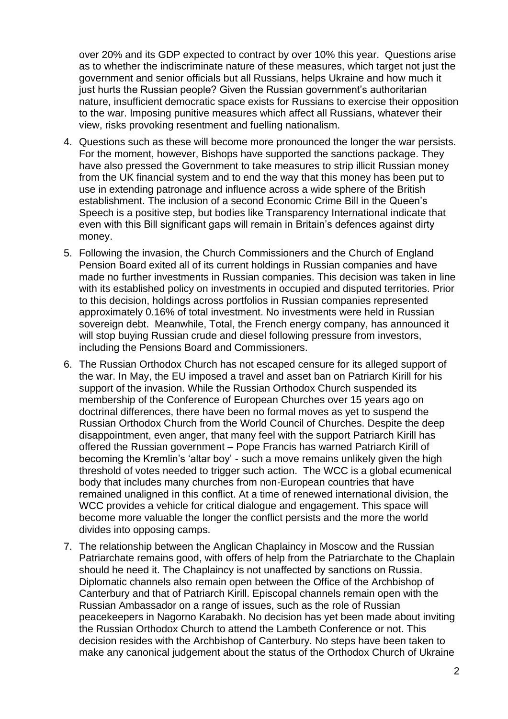over 20% and its GDP expected to contract by over 10% this year. Questions arise as to whether the indiscriminate nature of these measures, which target not just the government and senior officials but all Russians, helps Ukraine and how much it just hurts the Russian people? Given the Russian government's authoritarian nature, insufficient democratic space exists for Russians to exercise their opposition to the war. Imposing punitive measures which affect all Russians, whatever their view, risks provoking resentment and fuelling nationalism.

- 4. Questions such as these will become more pronounced the longer the war persists. For the moment, however, Bishops have supported the sanctions package. They have also pressed the Government to take measures to strip illicit Russian money from the UK financial system and to end the way that this money has been put to use in extending patronage and influence across a wide sphere of the British establishment. The inclusion of a second Economic Crime Bill in the Queen's Speech is a positive step, but bodies like Transparency International indicate that even with this Bill significant gaps will remain in Britain's defences against dirty money.
- 5. Following the invasion, the Church Commissioners and the Church of England Pension Board exited all of its current holdings in Russian companies and have made no further investments in Russian companies. This decision was taken in line with its established policy on investments in occupied and disputed territories. Prior to this decision, holdings across portfolios in Russian companies represented approximately 0.16% of total investment. No investments were held in Russian sovereign debt. Meanwhile, Total, the French energy company, has announced it will stop buying Russian crude and diesel following pressure from investors, including the Pensions Board and Commissioners.
- 6. The Russian Orthodox Church has not escaped censure for its alleged support of the war. In May, the EU imposed a travel and asset ban on Patriarch Kirill for his support of the invasion. While the Russian Orthodox Church suspended its membership of the Conference of European Churches over 15 years ago on doctrinal differences, there have been no formal moves as yet to suspend the Russian Orthodox Church from the World Council of Churches. Despite the deep disappointment, even anger, that many feel with the support Patriarch Kirill has offered the Russian government – Pope Francis has warned Patriarch Kirill of becoming the Kremlin's 'altar boy' - such a move remains unlikely given the high threshold of votes needed to trigger such action. The WCC is a global ecumenical body that includes many churches from non-European countries that have remained unaligned in this conflict. At a time of renewed international division, the WCC provides a vehicle for critical dialogue and engagement. This space will become more valuable the longer the conflict persists and the more the world divides into opposing camps.
- 7. The relationship between the Anglican Chaplaincy in Moscow and the Russian Patriarchate remains good, with offers of help from the Patriarchate to the Chaplain should he need it. The Chaplaincy is not unaffected by sanctions on Russia. Diplomatic channels also remain open between the Office of the Archbishop of Canterbury and that of Patriarch Kirill. Episcopal channels remain open with the Russian Ambassador on a range of issues, such as the role of Russian peacekeepers in Nagorno Karabakh. No decision has yet been made about inviting the Russian Orthodox Church to attend the Lambeth Conference or not. This decision resides with the Archbishop of Canterbury. No steps have been taken to make any canonical judgement about the status of the Orthodox Church of Ukraine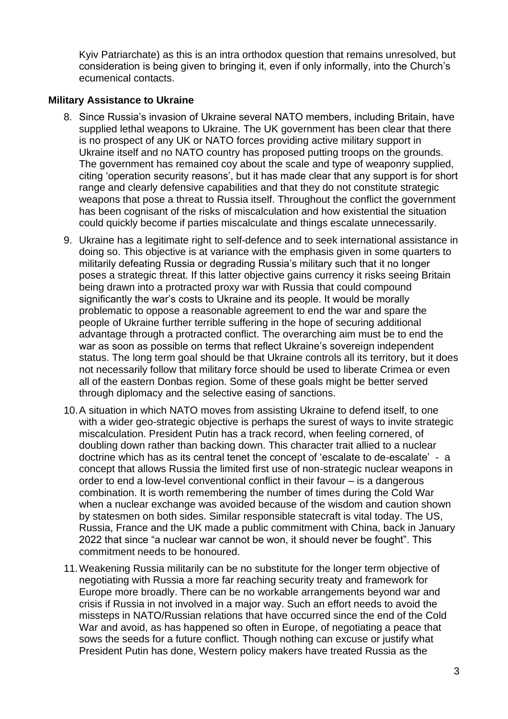Kyiv Patriarchate) as this is an intra orthodox question that remains unresolved, but consideration is being given to bringing it, even if only informally, into the Church's ecumenical contacts.

## **Military Assistance to Ukraine**

- 8. Since Russia's invasion of Ukraine several NATO members, including Britain, have supplied lethal weapons to Ukraine. The UK government has been clear that there is no prospect of any UK or NATO forces providing active military support in Ukraine itself and no NATO country has proposed putting troops on the grounds. The government has remained coy about the scale and type of weaponry supplied, citing 'operation security reasons', but it has made clear that any support is for short range and clearly defensive capabilities and that they do not constitute strategic weapons that pose a threat to Russia itself. Throughout the conflict the government has been cognisant of the risks of miscalculation and how existential the situation could quickly become if parties miscalculate and things escalate unnecessarily.
- 9. Ukraine has a legitimate right to self-defence and to seek international assistance in doing so. This objective is at variance with the emphasis given in some quarters to militarily defeating Russia or degrading Russia's military such that it no longer poses a strategic threat. If this latter objective gains currency it risks seeing Britain being drawn into a protracted proxy war with Russia that could compound significantly the war's costs to Ukraine and its people. It would be morally problematic to oppose a reasonable agreement to end the war and spare the people of Ukraine further terrible suffering in the hope of securing additional advantage through a protracted conflict. The overarching aim must be to end the war as soon as possible on terms that reflect Ukraine's sovereign independent status. The long term goal should be that Ukraine controls all its territory, but it does not necessarily follow that military force should be used to liberate Crimea or even all of the eastern Donbas region. Some of these goals might be better served through diplomacy and the selective easing of sanctions.
- 10.A situation in which NATO moves from assisting Ukraine to defend itself, to one with a wider geo-strategic objective is perhaps the surest of ways to invite strategic miscalculation. President Putin has a track record, when feeling cornered, of doubling down rather than backing down. This character trait allied to a nuclear doctrine which has as its central tenet the concept of 'escalate to de-escalate' - a concept that allows Russia the limited first use of non-strategic nuclear weapons in order to end a low-level conventional conflict in their favour – is a dangerous combination. It is worth remembering the number of times during the Cold War when a nuclear exchange was avoided because of the wisdom and caution shown by statesmen on both sides. Similar responsible statecraft is vital today. The US, Russia, France and the UK made a public commitment with China, back in January 2022 that since "a nuclear war cannot be won, it should never be fought". This commitment needs to be honoured.
- 11.Weakening Russia militarily can be no substitute for the longer term objective of negotiating with Russia a more far reaching security treaty and framework for Europe more broadly. There can be no workable arrangements beyond war and crisis if Russia in not involved in a major way. Such an effort needs to avoid the missteps in NATO/Russian relations that have occurred since the end of the Cold War and avoid, as has happened so often in Europe, of negotiating a peace that sows the seeds for a future conflict. Though nothing can excuse or justify what President Putin has done, Western policy makers have treated Russia as the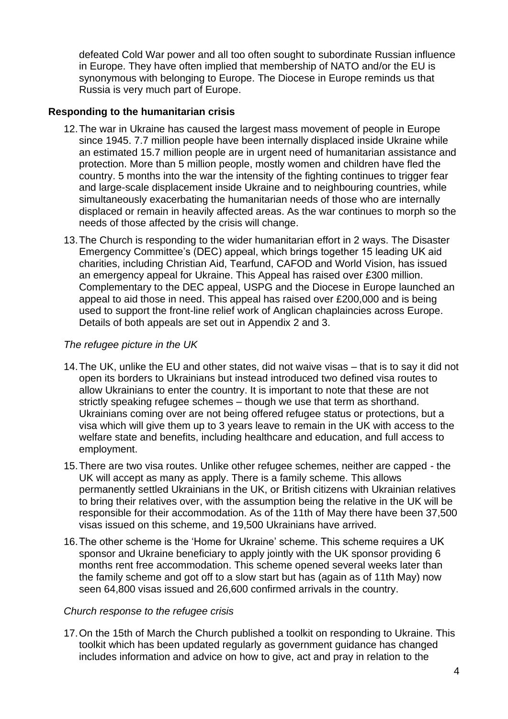defeated Cold War power and all too often sought to subordinate Russian influence in Europe. They have often implied that membership of NATO and/or the EU is synonymous with belonging to Europe. The Diocese in Europe reminds us that Russia is very much part of Europe.

## **Responding to the humanitarian crisis**

- 12.The war in Ukraine has caused the largest mass movement of people in Europe since 1945. 7.7 million people have been internally displaced inside Ukraine while an estimated 15.7 million people are in urgent need of humanitarian assistance and protection. More than 5 million people, mostly women and children have fled the country. 5 months into the war the intensity of the fighting continues to trigger fear and large-scale displacement inside Ukraine and to neighbouring countries, while simultaneously exacerbating the humanitarian needs of those who are internally displaced or remain in heavily affected areas. As the war continues to morph so the needs of those affected by the crisis will change.
- 13.The Church is responding to the wider humanitarian effort in 2 ways. The [Disaster](https://www.dec.org.uk/appeal/ukraine-humanitarian-appeal)  [Emergency Committee'](https://www.dec.org.uk/appeal/ukraine-humanitarian-appeal)s (DEC) appeal, which brings together 15 leading UK aid charities, including Christian Aid, Tearfund, CAFOD and World Vision, has issued an emergency appeal for Ukraine. This Appeal has raised over £300 million. Complementary to the DEC appeal, [USPG and the Diocese in Europe launched an](https://ukraine-emergency-appeal.raisely.com/)  [appeal to aid those in need.](https://ukraine-emergency-appeal.raisely.com/) This appeal has raised over £200,000 and is being used to support the front-line relief work of Anglican chaplaincies across Europe. Details of both appeals are set out in Appendix 2 and 3.

## *The refugee picture in the UK*

- 14.The UK, unlike the EU and other states, did not waive visas that is to say it did not open its borders to Ukrainians but instead introduced two defined visa routes to allow Ukrainians to enter the country. It is important to note that these are not strictly speaking refugee schemes – though we use that term as shorthand. Ukrainians coming over are not being offered refugee status or protections, but a visa which will give them up to 3 years leave to remain in the UK with access to the welfare state and benefits, including healthcare and education, and full access to employment.
- 15.There are two visa routes. Unlike other refugee schemes, neither are capped the UK will accept as many as apply. There is a family scheme. This allows permanently settled Ukrainians in the UK, or British citizens with Ukrainian relatives to bring their relatives over, with the assumption being the relative in the UK will be responsible for their accommodation. As of the 11th of May there have been 37,500 visas issued on this scheme, and 19,500 Ukrainians have arrived.
- 16.The other scheme is the 'Home for Ukraine' scheme. This scheme requires a UK sponsor and Ukraine beneficiary to apply jointly with the UK sponsor providing 6 months rent free accommodation. This scheme opened several weeks later than the family scheme and got off to a slow start but has (again as of 11th May) now seen 64,800 visas issued and 26,600 confirmed arrivals in the country.

### *Church response to the refugee crisis*

17.On the 15th of March the Church published a toolkit on responding to Ukraine. This toolkit which has been updated regularly as government guidance has changed includes information and advice on how to give, act and pray in relation to the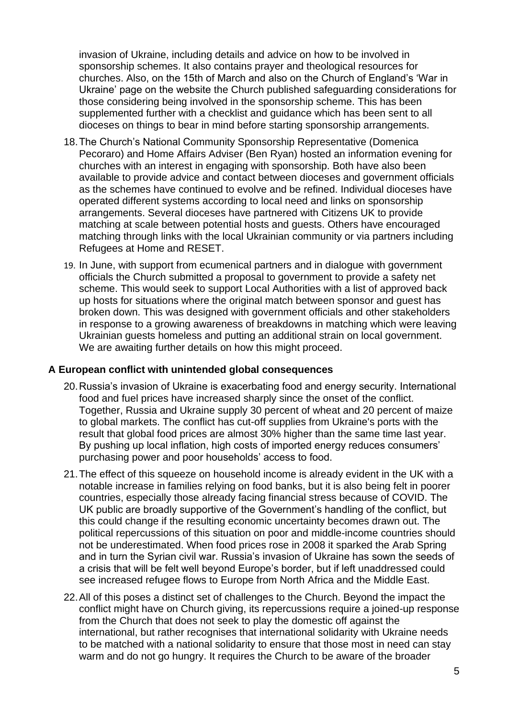invasion of Ukraine, including details and advice on how to be involved in sponsorship schemes. It also contains prayer and theological resources for churches. Also, on the 15th of March and also on the Church of England's 'War in Ukraine' page on the website the Church published safeguarding considerations for those considering being involved in the sponsorship scheme. This has been supplemented further with a checklist and guidance which has been sent to all dioceses on things to bear in mind before starting sponsorship arrangements.

- 18.The Church's National Community Sponsorship Representative (Domenica Pecoraro) and Home Affairs Adviser (Ben Ryan) hosted an information evening for churches with an interest in engaging with sponsorship. Both have also been available to provide advice and contact between dioceses and government officials as the schemes have continued to evolve and be refined. Individual dioceses have operated different systems according to local need and links on sponsorship arrangements. Several dioceses have partnered with Citizens UK to provide matching at scale between potential hosts and guests. Others have encouraged matching through links with the local Ukrainian community or via partners including Refugees at Home and RESET.
- 19. In June, with support from ecumenical partners and in dialogue with government officials the Church submitted a proposal to government to provide a safety net scheme. This would seek to support Local Authorities with a list of approved back up hosts for situations where the original match between sponsor and guest has broken down. This was designed with government officials and other stakeholders in response to a growing awareness of breakdowns in matching which were leaving Ukrainian guests homeless and putting an additional strain on local government. We are awaiting further details on how this might proceed.

### **A European conflict with unintended global consequences**

- 20.Russia's invasion of Ukraine is exacerbating food and energy security. International food and fuel prices have increased sharply since the onset of the conflict. Together, Russia and Ukraine supply 30 percent of wheat and 20 percent of maize to global markets. The conflict has cut-off supplies from Ukraine's ports with the result that global food prices are almost 30% higher than the same time last year. By pushing up local inflation, high costs of imported energy reduces consumers' purchasing power and poor households' access to food.
- 21.The effect of this squeeze on household income is already evident in the UK with a notable increase in families relying on food banks, but it is also being felt in poorer countries, especially those already facing financial stress because of COVID. The UK public are broadly supportive of the Government's handling of the conflict, but this could change if the resulting economic uncertainty becomes drawn out. The political repercussions of this situation on poor and middle-income countries should not be underestimated. When food prices rose in 2008 it sparked the Arab Spring and in turn the Syrian civil war. Russia's invasion of Ukraine has sown the seeds of a crisis that will be felt well beyond Europe's border, but if left unaddressed could see increased refugee flows to Europe from North Africa and the Middle East.
- 22.All of this poses a distinct set of challenges to the Church. Beyond the impact the conflict might have on Church giving, its repercussions require a joined-up response from the Church that does not seek to play the domestic off against the international, but rather recognises that international solidarity with Ukraine needs to be matched with a national solidarity to ensure that those most in need can stay warm and do not go hungry. It requires the Church to be aware of the broader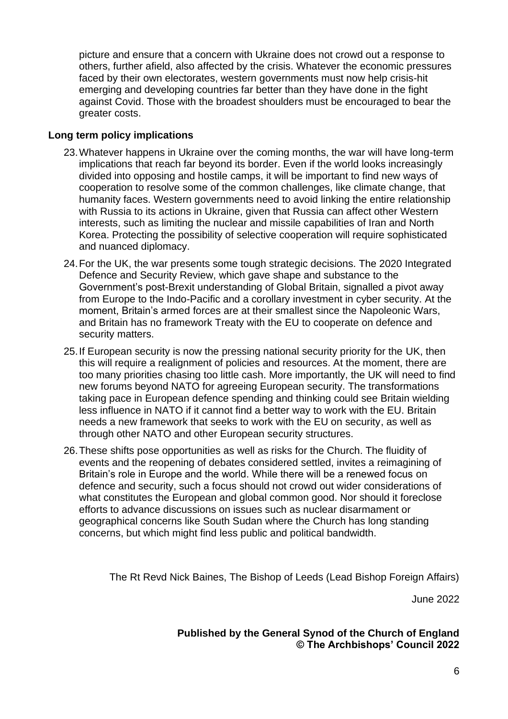picture and ensure that a concern with Ukraine does not crowd out a response to others, further afield, also affected by the crisis. Whatever the economic pressures faced by their own electorates, western governments must now help crisis-hit emerging and developing countries far better than they have done in the fight against Covid. Those with the broadest shoulders must be encouraged to bear the greater costs.

## **Long term policy implications**

- 23.Whatever happens in Ukraine over the coming months, the war will have long-term implications that reach far beyond its border. Even if the world looks increasingly divided into opposing and hostile camps, it will be important to find new ways of cooperation to resolve some of the common challenges, like climate change, that humanity faces. Western governments need to avoid linking the entire relationship with Russia to its actions in Ukraine, given that Russia can affect other Western interests, such as limiting the nuclear and missile capabilities of Iran and North Korea. Protecting the possibility of selective cooperation will require sophisticated and nuanced diplomacy.
- 24.For the UK, the war presents some tough strategic decisions. The 2020 Integrated Defence and Security Review, which gave shape and substance to the Government's post-Brexit understanding of Global Britain, signalled a pivot away from Europe to the Indo-Pacific and a corollary investment in cyber security. At the moment, Britain's armed forces are at their smallest since the Napoleonic Wars, and Britain has no framework Treaty with the EU to cooperate on defence and security matters.
- 25.If European security is now the pressing national security priority for the UK, then this will require a realignment of policies and resources. At the moment, there are too many priorities chasing too little cash. More importantly, the UK will need to find new forums beyond NATO for agreeing European security. The transformations taking pace in European defence spending and thinking could see Britain wielding less influence in NATO if it cannot find a better way to work with the EU. Britain needs a new framework that seeks to work with the EU on security, as well as through other NATO and other European security structures.
- 26.These shifts pose opportunities as well as risks for the Church. The fluidity of events and the reopening of debates considered settled, invites a reimagining of Britain's role in Europe and the world. While there will be a renewed focus on defence and security, such a focus should not crowd out wider considerations of what constitutes the European and global common good. Nor should it foreclose efforts to advance discussions on issues such as nuclear disarmament or geographical concerns like South Sudan where the Church has long standing concerns, but which might find less public and political bandwidth.

The Rt Revd Nick Baines, The Bishop of Leeds (Lead Bishop Foreign Affairs)

June 2022

# **Published by the General Synod of the Church of England © The Archbishops' Council 2022**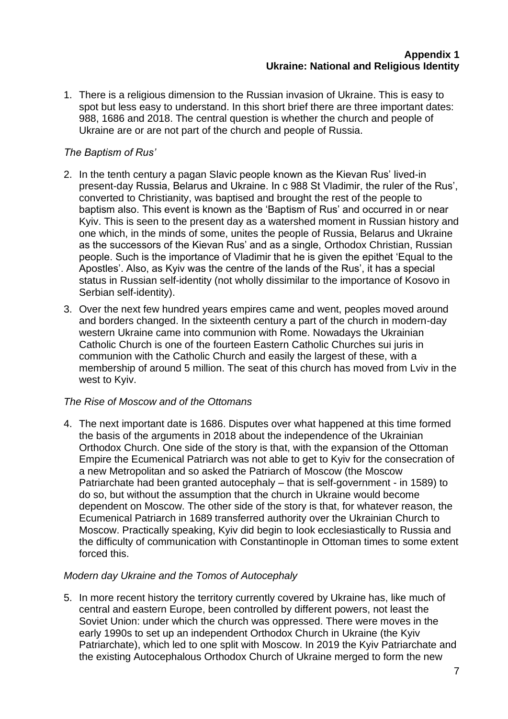1. There is a religious dimension to the Russian invasion of Ukraine. This is easy to spot but less easy to understand. In this short brief there are three important dates: 988, 1686 and 2018. The central question is whether the church and people of Ukraine are or are not part of the church and people of Russia.

# *The Baptism of Rus'*

- 2. In the tenth century a pagan Slavic people known as the Kievan Rus' lived-in present-day Russia, Belarus and Ukraine. In c 988 St Vladimir, the ruler of the Rus', converted to Christianity, was baptised and brought the rest of the people to baptism also. This event is known as the 'Baptism of Rus' and occurred in or near Kyiv. This is seen to the present day as a watershed moment in Russian history and one which, in the minds of some, unites the people of Russia, Belarus and Ukraine as the successors of the Kievan Rus' and as a single, Orthodox Christian, Russian people. Such is the importance of Vladimir that he is given the epithet 'Equal to the Apostles'. Also, as Kyiv was the centre of the lands of the Rus', it has a special status in Russian self-identity (not wholly dissimilar to the importance of Kosovo in Serbian self-identity).
- 3. Over the next few hundred years empires came and went, peoples moved around and borders changed. In the sixteenth century a part of the church in modern-day western Ukraine came into communion with Rome. Nowadays the Ukrainian Catholic Church is one of the fourteen Eastern Catholic Churches sui juris in communion with the Catholic Church and easily the largest of these, with a membership of around 5 million. The seat of this church has moved from Lviv in the west to Kyiv.

### *The Rise of Moscow and of the Ottomans*

4. The next important date is 1686. Disputes over what happened at this time formed the basis of the arguments in 2018 about the independence of the Ukrainian Orthodox Church. One side of the story is that, with the expansion of the Ottoman Empire the Ecumenical Patriarch was not able to get to Kyiv for the consecration of a new Metropolitan and so asked the Patriarch of Moscow (the Moscow Patriarchate had been granted autocephaly – that is self-government - in 1589) to do so, but without the assumption that the church in Ukraine would become dependent on Moscow. The other side of the story is that, for whatever reason, the Ecumenical Patriarch in 1689 transferred authority over the Ukrainian Church to Moscow. Practically speaking, Kyiv did begin to look ecclesiastically to Russia and the difficulty of communication with Constantinople in Ottoman times to some extent forced this.

### *Modern day Ukraine and the Tomos of Autocephaly*

5. In more recent history the territory currently covered by Ukraine has, like much of central and eastern Europe, been controlled by different powers, not least the Soviet Union: under which the church was oppressed. There were moves in the early 1990s to set up an independent Orthodox Church in Ukraine (the Kyiv Patriarchate), which led to one split with Moscow. In 2019 the Kyiv Patriarchate and the existing Autocephalous Orthodox Church of Ukraine merged to form the new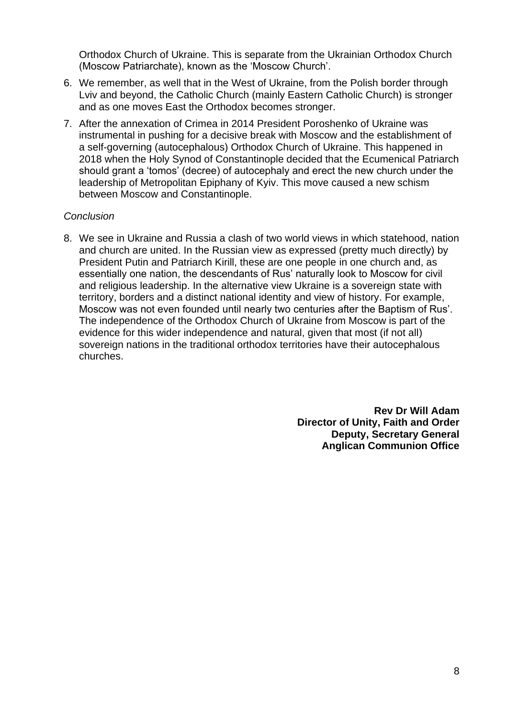Orthodox Church of Ukraine. This is separate from the Ukrainian Orthodox Church (Moscow Patriarchate), known as the 'Moscow Church'.

- 6. We remember, as well that in the West of Ukraine, from the Polish border through Lviv and beyond, the Catholic Church (mainly Eastern Catholic Church) is stronger and as one moves East the Orthodox becomes stronger.
- 7. After the annexation of Crimea in 2014 President Poroshenko of Ukraine was instrumental in pushing for a decisive break with Moscow and the establishment of a self-governing (autocephalous) Orthodox Church of Ukraine. This happened in 2018 when the Holy Synod of Constantinople decided that the Ecumenical Patriarch should grant a 'tomos' (decree) of autocephaly and erect the new church under the leadership of Metropolitan Epiphany of Kyiv. This move caused a new schism between Moscow and Constantinople.

### *Conclusion*

8. We see in Ukraine and Russia a clash of two world views in which statehood, nation and church are united. In the Russian view as expressed (pretty much directly) by President Putin and Patriarch Kirill, these are one people in one church and, as essentially one nation, the descendants of Rus' naturally look to Moscow for civil and religious leadership. In the alternative view Ukraine is a sovereign state with territory, borders and a distinct national identity and view of history. For example, Moscow was not even founded until nearly two centuries after the Baptism of Rus'. The independence of the Orthodox Church of Ukraine from Moscow is part of the evidence for this wider independence and natural, given that most (if not all) sovereign nations in the traditional orthodox territories have their autocephalous churches.

> **Rev Dr Will Adam Director of Unity, Faith and Order Deputy, Secretary General Anglican Communion Office**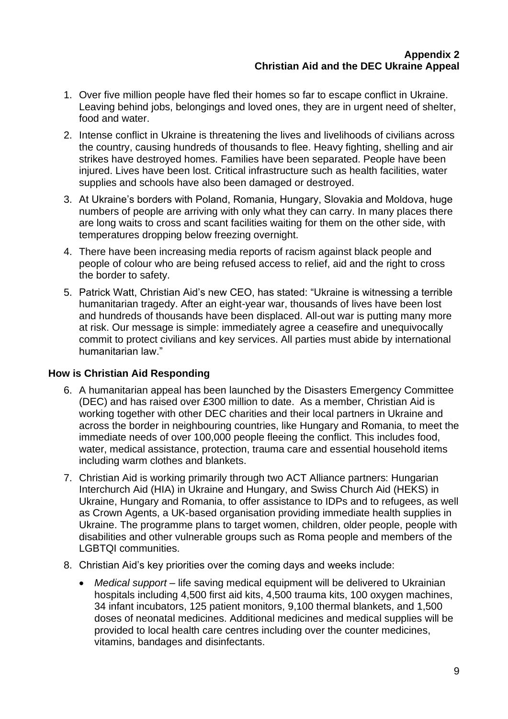- 1. Over five million people have fled their homes so far to escape conflict in Ukraine. Leaving behind jobs, belongings and loved ones, they are in urgent need of shelter, food and water.
- 2. Intense conflict in Ukraine is threatening the lives and livelihoods of civilians across the country, causing hundreds of thousands to flee. Heavy fighting, shelling and air strikes have destroyed homes. Families have been separated. People have been injured. Lives have been lost. Critical infrastructure such as health facilities, water supplies and schools have also been damaged or destroyed.
- 3. At Ukraine's borders with Poland, Romania, Hungary, Slovakia and Moldova, huge numbers of people are arriving with only what they can carry. In many places there are long waits to cross and scant facilities waiting for them on the other side, with temperatures dropping below freezing overnight.
- 4. There have been increasing media reports of racism against black people and people of colour who are being refused access to relief, aid and the right to cross the border to safety.
- 5. Patrick Watt, Christian Aid's new CEO, has stated: "Ukraine is witnessing a terrible humanitarian tragedy. After an eight-year war, thousands of lives have been lost and hundreds of thousands have been displaced. All-out war is putting many more at risk. Our message is simple: immediately agree a ceasefire and unequivocally commit to protect civilians and key services. All parties must abide by international humanitarian law."

### **How is Christian Aid Responding**

- 6. A humanitarian appeal has been launched by the Disasters Emergency Committee (DEC) and has raised over £300 million to date. As a member, Christian Aid is working together with other DEC charities and their local partners in Ukraine and across the border in neighbouring countries, like Hungary and Romania, to meet the immediate needs of over 100,000 people fleeing the conflict. This includes food, water, medical assistance, protection, trauma care and essential household items including warm clothes and blankets.
- 7. Christian Aid is working primarily through two ACT Alliance partners: Hungarian Interchurch Aid (HIA) in Ukraine and Hungary, and Swiss Church Aid (HEKS) in Ukraine, Hungary and Romania, to offer assistance to IDPs and to refugees, as well as Crown Agents, a UK-based organisation providing immediate health supplies in Ukraine. The programme plans to target women, children, older people, people with disabilities and other vulnerable groups such as Roma people and members of the LGBTQI communities.
- 8. Christian Aid's key priorities over the coming days and weeks include:
	- *Medical support –* life saving medical equipment will be delivered to Ukrainian hospitals including 4,500 first aid kits, 4,500 trauma kits, 100 oxygen machines, 34 infant incubators, 125 patient monitors, 9,100 thermal blankets, and 1,500 doses of neonatal medicines. Additional medicines and medical supplies will be provided to local health care centres including over the counter medicines, vitamins, bandages and disinfectants.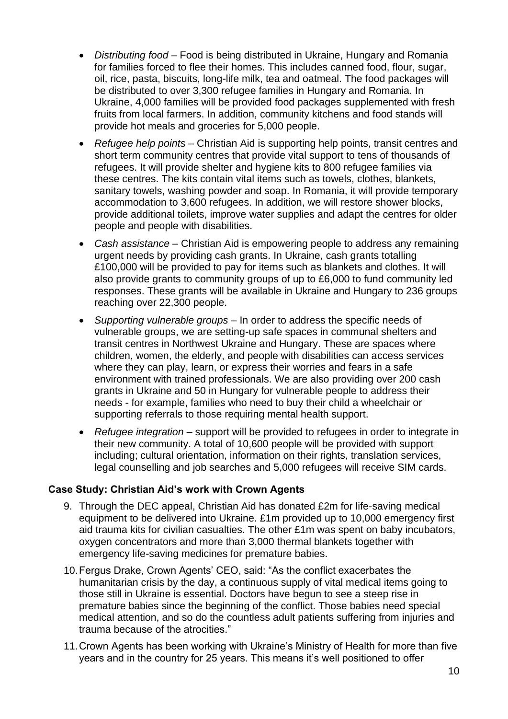- *Distributing food –* Food is being distributed in Ukraine, Hungary and Romania for families forced to flee their homes. This includes canned food, flour, sugar, oil, rice, pasta, biscuits, long-life milk, tea and oatmeal. The food packages will be distributed to over 3,300 refugee families in Hungary and Romania. In Ukraine, 4,000 families will be provided food packages supplemented with fresh fruits from local farmers. In addition, community kitchens and food stands will provide hot meals and groceries for 5,000 people.
- *Refugee help points –* Christian Aid is supporting help points, transit centres and short term community centres that provide vital support to tens of thousands of refugees. It will provide shelter and hygiene kits to 800 refugee families via these centres. The kits contain vital items such as towels, clothes, blankets, sanitary towels, washing powder and soap. In Romania, it will provide temporary accommodation to 3,600 refugees. In addition, we will restore shower blocks, provide additional toilets, improve water supplies and adapt the centres for older people and people with disabilities.
- *Cash assistance –* Christian Aid is empowering people to address any remaining urgent needs by providing cash grants. In Ukraine, cash grants totalling £100,000 will be provided to pay for items such as blankets and clothes. It will also provide grants to community groups of up to £6,000 to fund community led responses. These grants will be available in Ukraine and Hungary to 236 groups reaching over 22,300 people.
- *Supporting vulnerable groups* In order to address the specific needs of vulnerable groups, we are setting-up safe spaces in communal shelters and transit centres in Northwest Ukraine and Hungary. These are spaces where children, women, the elderly, and people with disabilities can access services where they can play, learn, or express their worries and fears in a safe environment with trained professionals. We are also providing over 200 cash grants in Ukraine and 50 in Hungary for vulnerable people to address their needs - for example, families who need to buy their child a wheelchair or supporting referrals to those requiring mental health support.
- *Refugee integration –* support will be provided to refugees in order to integrate in their new community. A total of 10,600 people will be provided with support including; cultural orientation, information on their rights, translation services, legal counselling and job searches and 5,000 refugees will receive SIM cards.

# **Case Study: Christian Aid's work with Crown Agents**

- 9. Through the DEC appeal, Christian Aid has donated £2m for life-saving medical equipment to be delivered into Ukraine. £1m provided up to 10,000 emergency first aid trauma kits for civilian casualties. The other £1m was spent on baby incubators, oxygen concentrators and more than 3,000 thermal blankets together with emergency life-saving medicines for premature babies.
- 10.Fergus Drake, Crown Agents' CEO, said: "As the conflict exacerbates the humanitarian crisis by the day, a continuous supply of vital medical items going to those still in Ukraine is essential. Doctors have begun to see a steep rise in premature babies since the beginning of the conflict. Those babies need special medical attention, and so do the countless adult patients suffering from injuries and trauma because of the atrocities."
- 11.Crown Agents has been working with Ukraine's Ministry of Health for more than five years and in the country for 25 years. This means it's well positioned to offer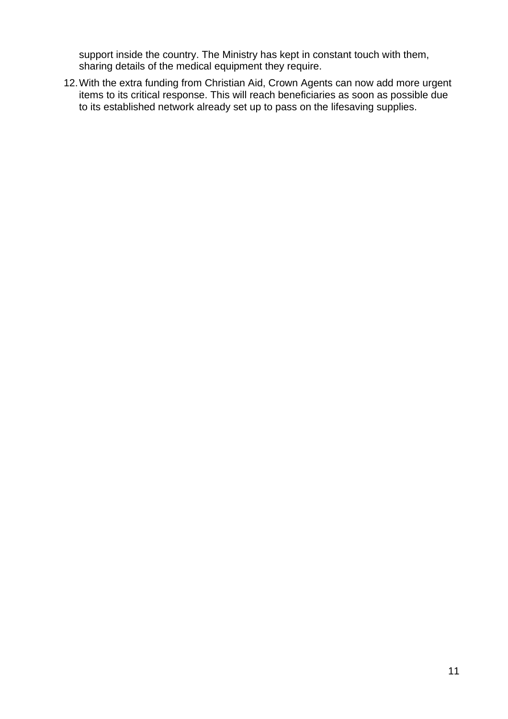support inside the country. The Ministry has kept in constant touch with them, sharing details of the medical equipment they require.

12.With the extra funding from Christian Aid, Crown Agents can now add more urgent items to its critical response. This will reach beneficiaries as soon as possible due to its established network already set up to pass on the lifesaving supplies.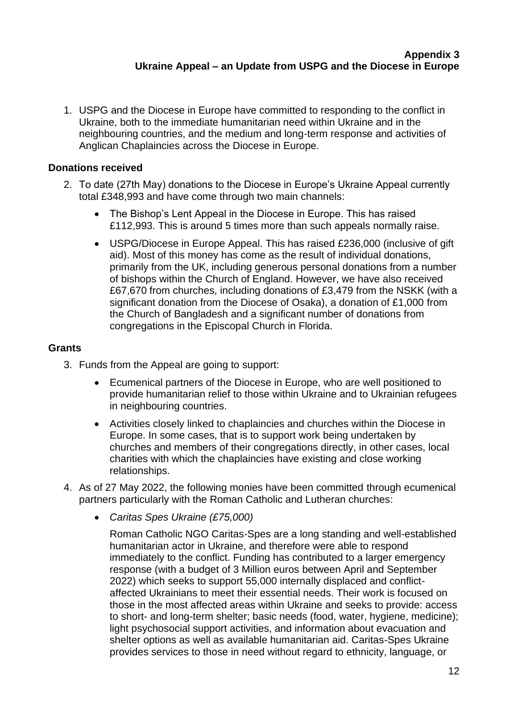1. USPG and the Diocese in Europe have committed to responding to the conflict in Ukraine, both to the immediate humanitarian need within Ukraine and in the neighbouring countries, and the medium and long-term response and activities of Anglican Chaplaincies across the Diocese in Europe.

# **Donations received**

- 2. To date (27th May) donations to the Diocese in Europe's Ukraine Appeal currently total £348,993 and have come through two main channels:
	- The Bishop's Lent Appeal in the Diocese in Europe. This has raised £112,993. This is around 5 times more than such appeals normally raise.
	- USPG/Diocese in Europe Appeal. This has raised £236,000 (inclusive of gift aid). Most of this money has come as the result of individual donations, primarily from the UK, including generous personal donations from a number of bishops within the Church of England. However, we have also received £67,670 from churches, including donations of £3,479 from the NSKK (with a significant donation from the Diocese of Osaka), a donation of £1,000 from the Church of Bangladesh and a significant number of donations from congregations in the Episcopal Church in Florida.

## **Grants**

- 3. Funds from the Appeal are going to support:
	- Ecumenical partners of the Diocese in Europe, who are well positioned to provide humanitarian relief to those within Ukraine and to Ukrainian refugees in neighbouring countries.
	- Activities closely linked to chaplaincies and churches within the Diocese in Europe. In some cases, that is to support work being undertaken by churches and members of their congregations directly, in other cases, local charities with which the chaplaincies have existing and close working relationships.
- 4. As of 27 May 2022, the following monies have been committed through ecumenical partners particularly with the Roman Catholic and Lutheran churches:
	- *Caritas Spes Ukraine (£75,000)*

Roman Catholic NGO Caritas-Spes are a long standing and well-established humanitarian actor in Ukraine, and therefore were able to respond immediately to the conflict. Funding has contributed to a larger emergency response (with a budget of 3 Million euros between April and September 2022) which seeks to support 55,000 internally displaced and conflictaffected Ukrainians to meet their essential needs. Their work is focused on those in the most affected areas within Ukraine and seeks to provide: access to short- and long-term shelter; basic needs (food, water, hygiene, medicine); light psychosocial support activities, and information about evacuation and shelter options as well as available humanitarian aid. Caritas-Spes Ukraine provides services to those in need without regard to ethnicity, language, or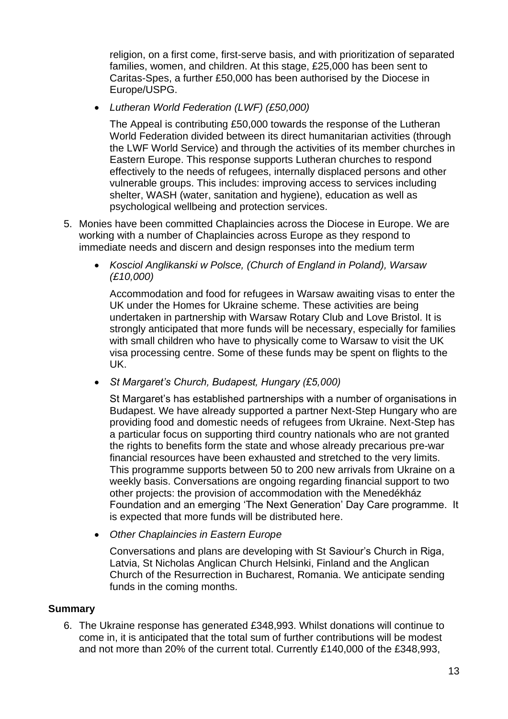religion, on a first come, first-serve basis, and with prioritization of separated families, women, and children. At this stage, £25,000 has been sent to Caritas-Spes, a further £50,000 has been authorised by the Diocese in Europe/USPG.

• *Lutheran World Federation (LWF) (£50,000)*

The Appeal is contributing £50,000 towards the response of the Lutheran World Federation divided between its direct humanitarian activities (through the LWF World Service) and through the activities of its member churches in Eastern Europe. This response supports Lutheran churches to respond effectively to the needs of refugees, internally displaced persons and other vulnerable groups. This includes: improving access to services including shelter, WASH (water, sanitation and hygiene), education as well as psychological wellbeing and protection services.

- 5. Monies have been committed Chaplaincies across the Diocese in Europe. We are working with a number of Chaplaincies across Europe as they respond to immediate needs and discern and design responses into the medium term
	- *Kosciol Anglikanski w Polsce, (Church of England in Poland), Warsaw (£10,000)*

Accommodation and food for refugees in Warsaw awaiting visas to enter the UK under the Homes for Ukraine scheme. These activities are being undertaken in partnership with Warsaw Rotary Club and Love Bristol. It is strongly anticipated that more funds will be necessary, especially for families with small children who have to physically come to Warsaw to visit the UK visa processing centre. Some of these funds may be spent on flights to the UK.

• *St Margaret's Church, Budapest, Hungary (£5,000)*

St Margaret's has established partnerships with a number of organisations in Budapest. We have already supported a partner Next-Step Hungary who are providing food and domestic needs of refugees from Ukraine. Next-Step has a particular focus on supporting third country nationals who are not granted the rights to benefits form the state and whose already precarious pre-war financial resources have been exhausted and stretched to the very limits. This programme supports between 50 to 200 new arrivals from Ukraine on a weekly basis. Conversations are ongoing regarding financial support to two other projects: the provision of accommodation with the Menedékház Foundation and an emerging 'The Next Generation' Day Care programme. It is expected that more funds will be distributed here.

• *Other Chaplaincies in Eastern Europe*

Conversations and plans are developing with St Saviour's Church in Riga, Latvia, St Nicholas Anglican Church Helsinki, Finland and the Anglican Church of the Resurrection in Bucharest, Romania. We anticipate sending funds in the coming months.

### **Summary**

6. The Ukraine response has generated £348,993. Whilst donations will continue to come in, it is anticipated that the total sum of further contributions will be modest and not more than 20% of the current total. Currently £140,000 of the £348,993,